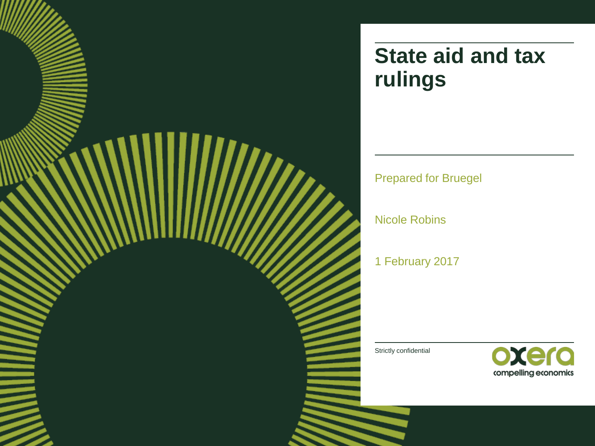

# **State aid and tax rulings**

Prepared for Bruegel

Nicole Robins

1 February 2017

Strictly confidential

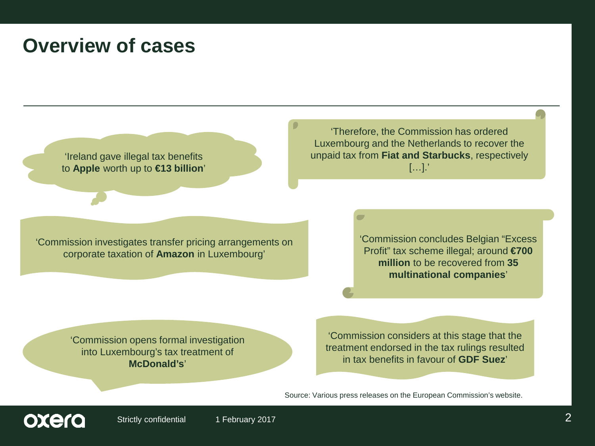## **Overview of cases**

'Ireland gave illegal tax benefits to **Apple** worth up to **€13 billion**'

'Therefore, the Commission has ordered Luxembourg and the Netherlands to recover the unpaid tax from **Fiat and Starbucks**, respectively […].'

'Commission investigates transfer pricing arrangements on corporate taxation of **Amazon** in Luxembourg'

'Commission concludes Belgian "Excess Profit" tax scheme illegal; around **€700 million** to be recovered from **35 multinational companies**'

'Commission opens formal investigation into Luxembourg's tax treatment of **McDonald's**'

'Commission considers at this stage that the treatment endorsed in the tax rulings resulted in tax benefits in favour of **GDF Suez**'

Source: Various press releases on the European Commission's website.

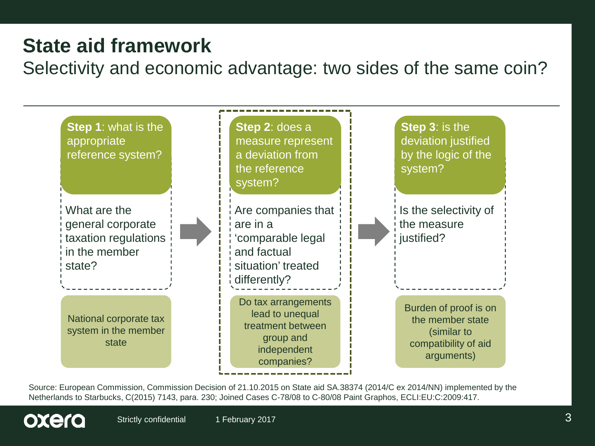# **State aid framework**

Selectivity and economic advantage: two sides of the same coin?



Source: European Commission, Commission Decision of 21.10.2015 on State aid SA.38374 (2014/C ex 2014/NN) implemented by the Netherlands to Starbucks, C(2015) 7143, para. 230; Joined Cases C-78/08 to C-80/08 Paint Graphos, ECLI:EU:C:2009:417.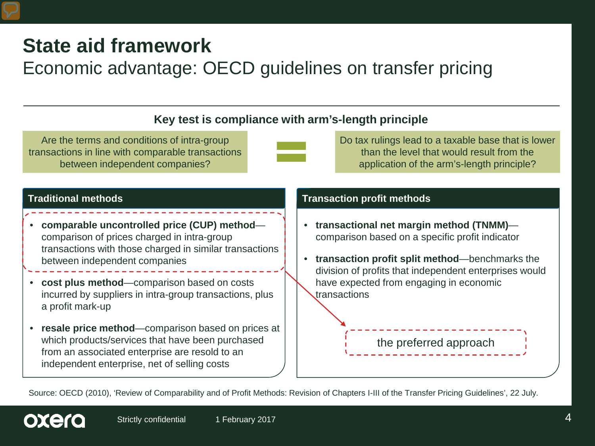# **State aid framework**

## Economic advantage: OECD guidelines on transfer pricing

## **Key test is compliance with arm's-length principle**

Are the terms and conditions of intra-group transactions in line with comparable transactions between independent companies?



Do tax rulings lead to a taxable base that is lower than the level that would result from the application of the arm's-length principle?

oxera

- **comparable uncontrolled price (CUP) method** comparison of prices charged in intra-group transactions with those charged in similar transactions between independent companies
- **cost plus method**—comparison based on costs incurred by suppliers in intra-group transactions, plus a profit mark-up
- resale price method—comparison based on prices at which products/services that have been purchased from an associated enterprise are resold to an independent enterprise, net of selling costs

### **Traditional methods Transaction profit methods**

- **transactional net margin method (TNMM)** comparison based on a specific profit indicator
- **transaction profit split method**—benchmarks the division of profits that independent enterprises would have expected from engaging in economic transactions

the preferred approach

Source: OECD (2010), 'Review of Comparability and of Profit Methods: Revision of Chapters I-III of the Transfer Pricing Guidelines', 22 July.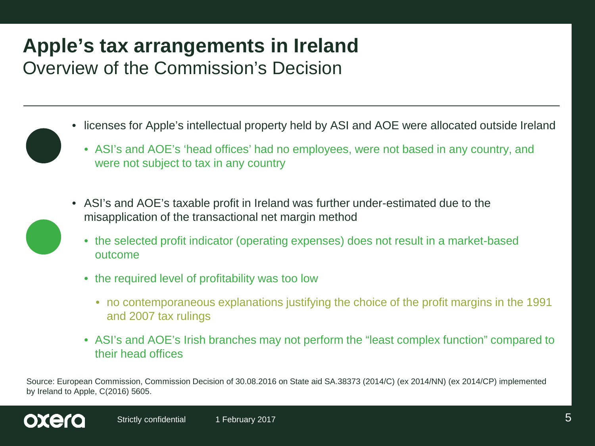## **Apple's tax arrangements in Ireland** Overview of the Commission's Decision

- licenses for Apple's intellectual property held by ASI and AOE were allocated outside Ireland
	- ASI's and AOE's 'head offices' had no employees, were not based in any country, and were not subject to tax in any country
- ASI's and AOE's taxable profit in Ireland was further under-estimated due to the misapplication of the transactional net margin method
	- the selected profit indicator (operating expenses) does not result in a market-based outcome
	- the required level of profitability was too low
		- no contemporaneous explanations justifying the choice of the profit margins in the 1991 and 2007 tax rulings
	- ASI's and AOE's Irish branches may not perform the "least complex function" compared to their head offices

Source: European Commission, Commission Decision of 30.08.2016 on State aid SA.38373 (2014/C) (ex 2014/NN) (ex 2014/CP) implemented by Ireland to Apple, C(2016) 5605.

oxero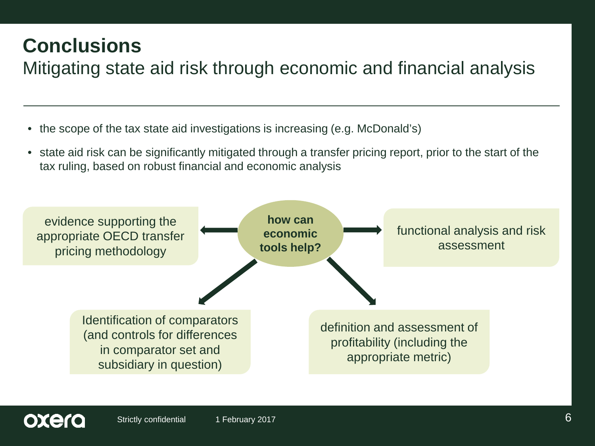# **Conclusions**

oxero

# Mitigating state aid risk through economic and financial analysis

- the scope of the tax state aid investigations is increasing (e.g. McDonald's)
- state aid risk can be significantly mitigated through a transfer pricing report, prior to the start of the tax ruling, based on robust financial and economic analysis